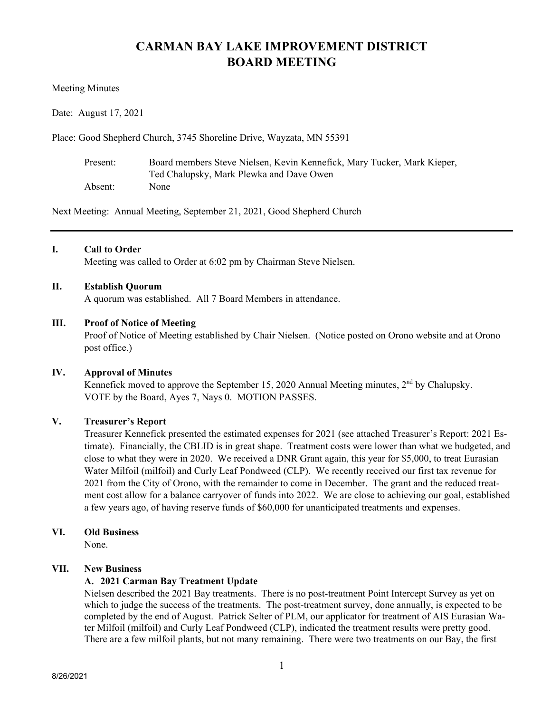# **CARMAN BAY LAKE IMPROVEMENT DISTRICT BOARD MEETING**

#### Meeting Minutes

Date: August 17, 2021

Place: Good Shepherd Church, 3745 Shoreline Drive, Wayzata, MN 55391

| Present: | Board members Steve Nielsen, Kevin Kennefick, Mary Tucker, Mark Kieper, |
|----------|-------------------------------------------------------------------------|
|          | Ted Chalupsky, Mark Plewka and Dave Owen                                |
| Absent:  | None                                                                    |

Next Meeting: Annual Meeting, September 21, 2021, Good Shepherd Church

# **I. Call to Order**

Meeting was called to Order at 6:02 pm by Chairman Steve Nielsen.

#### **II. Establish Quorum**

A quorum was established. All 7 Board Members in attendance.

#### **III. Proof of Notice of Meeting**

Proof of Notice of Meeting established by Chair Nielsen. (Notice posted on Orono website and at Orono post office.)

# **IV. Approval of Minutes**

Kennefick moved to approve the September 15, 2020 Annual Meeting minutes,  $2<sup>nd</sup>$  by Chalupsky. VOTE by the Board, Ayes 7, Nays 0. MOTION PASSES.

# **V. Treasurer's Report**

Treasurer Kennefick presented the estimated expenses for 2021 (see attached Treasurer's Report: 2021 Estimate). Financially, the CBLID is in great shape. Treatment costs were lower than what we budgeted, and close to what they were in 2020. We received a DNR Grant again, this year for \$5,000, to treat Eurasian Water Milfoil (milfoil) and Curly Leaf Pondweed (CLP). We recently received our first tax revenue for 2021 from the City of Orono, with the remainder to come in December. The grant and the reduced treatment cost allow for a balance carryover of funds into 2022. We are close to achieving our goal, established a few years ago, of having reserve funds of \$60,000 for unanticipated treatments and expenses.

# **VI. Old Business**

None.

# **VII. New Business**

# **A. 2021 Carman Bay Treatment Update**

Nielsen described the 2021 Bay treatments. There is no post-treatment Point Intercept Survey as yet on which to judge the success of the treatments. The post-treatment survey, done annually, is expected to be completed by the end of August. Patrick Selter of PLM, our applicator for treatment of AIS Eurasian Water Milfoil (milfoil) and Curly Leaf Pondweed (CLP), indicated the treatment results were pretty good. There are a few milfoil plants, but not many remaining. There were two treatments on our Bay, the first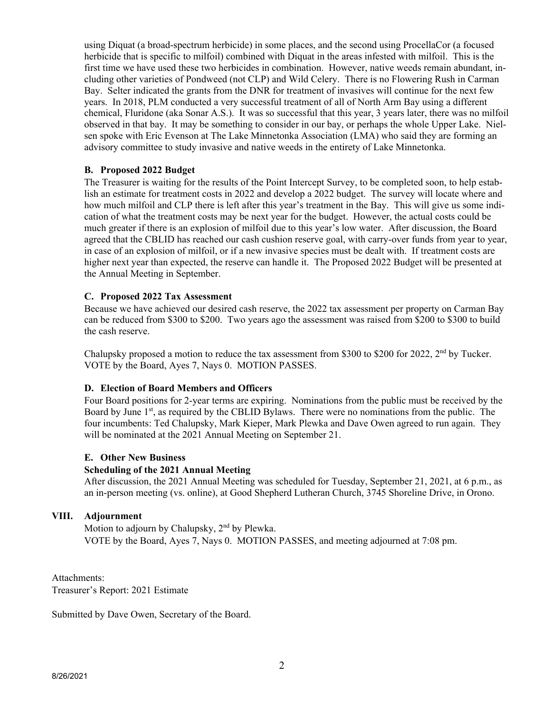using Diquat (a broad-spectrum herbicide) in some places, and the second using ProcellaCor (a focused herbicide that is specific to milfoil) combined with Diquat in the areas infested with milfoil. This is the first time we have used these two herbicides in combination. However, native weeds remain abundant, including other varieties of Pondweed (not CLP) and Wild Celery. There is no Flowering Rush in Carman Bay. Selter indicated the grants from the DNR for treatment of invasives will continue for the next few years. In 2018, PLM conducted a very successful treatment of all of North Arm Bay using a different chemical, Fluridone (aka Sonar A.S.). It was so successful that this year, 3 years later, there was no milfoil observed in that bay. It may be something to consider in our bay, or perhaps the whole Upper Lake. Nielsen spoke with Eric Evenson at The Lake Minnetonka Association (LMA) who said they are forming an advisory committee to study invasive and native weeds in the entirety of Lake Minnetonka.

# **B. Proposed 2022 Budget**

The Treasurer is waiting for the results of the Point Intercept Survey, to be completed soon, to help establish an estimate for treatment costs in 2022 and develop a 2022 budget. The survey will locate where and how much milfoil and CLP there is left after this year's treatment in the Bay. This will give us some indication of what the treatment costs may be next year for the budget. However, the actual costs could be much greater if there is an explosion of milfoil due to this year's low water. After discussion, the Board agreed that the CBLID has reached our cash cushion reserve goal, with carry-over funds from year to year, in case of an explosion of milfoil, or if a new invasive species must be dealt with. If treatment costs are higher next year than expected, the reserve can handle it. The Proposed 2022 Budget will be presented at the Annual Meeting in September.

# **C. Proposed 2022 Tax Assessment**

Because we have achieved our desired cash reserve, the 2022 tax assessment per property on Carman Bay can be reduced from \$300 to \$200. Two years ago the assessment was raised from \$200 to \$300 to build the cash reserve.

Chalupsky proposed a motion to reduce the tax assessment from \$300 to \$200 for 2022,  $2<sup>nd</sup>$  by Tucker. VOTE by the Board, Ayes 7, Nays 0. MOTION PASSES.

# **D. Election of Board Members and Officers**

Four Board positions for 2-year terms are expiring. Nominations from the public must be received by the Board by June  $1<sup>st</sup>$ , as required by the CBLID Bylaws. There were no nominations from the public. The four incumbents: Ted Chalupsky, Mark Kieper, Mark Plewka and Dave Owen agreed to run again. They will be nominated at the 2021 Annual Meeting on September 21.

# **E. Other New Business**

# **Scheduling of the 2021 Annual Meeting**

After discussion, the 2021 Annual Meeting was scheduled for Tuesday, September 21, 2021, at 6 p.m., as an in-person meeting (vs. online), at Good Shepherd Lutheran Church, 3745 Shoreline Drive, in Orono.

# **VIII. Adjournment**

Motion to adjourn by Chalupsky,  $2<sup>nd</sup>$  by Plewka. VOTE by the Board, Ayes 7, Nays 0. MOTION PASSES, and meeting adjourned at 7:08 pm.

Attachments: Treasurer's Report: 2021 Estimate

Submitted by Dave Owen, Secretary of the Board.